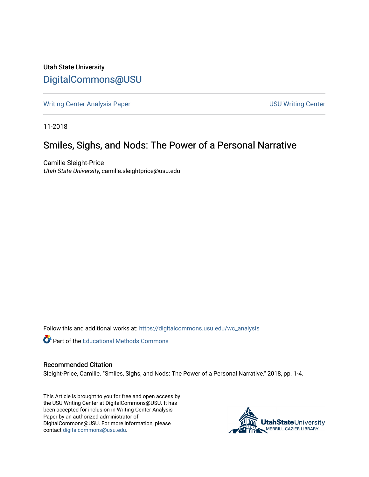Utah State University [DigitalCommons@USU](https://digitalcommons.usu.edu/)

[Writing Center Analysis Paper](https://digitalcommons.usu.edu/wc_analysis) [USU Writing Center](https://digitalcommons.usu.edu/wc) 

11-2018

## Smiles, Sighs, and Nods: The Power of a Personal Narrative

Camille Sleight-Price Utah State University, camille.sleightprice@usu.edu

Follow this and additional works at: [https://digitalcommons.usu.edu/wc\\_analysis](https://digitalcommons.usu.edu/wc_analysis?utm_source=digitalcommons.usu.edu%2Fwc_analysis%2F21&utm_medium=PDF&utm_campaign=PDFCoverPages) 

Part of the [Educational Methods Commons](http://network.bepress.com/hgg/discipline/1227?utm_source=digitalcommons.usu.edu%2Fwc_analysis%2F21&utm_medium=PDF&utm_campaign=PDFCoverPages) 

## Recommended Citation

Sleight-Price, Camille. "Smiles, Sighs, and Nods: The Power of a Personal Narrative." 2018, pp. 1-4.

This Article is brought to you for free and open access by the USU Writing Center at DigitalCommons@USU. It has been accepted for inclusion in Writing Center Analysis Paper by an authorized administrator of DigitalCommons@USU. For more information, please contact [digitalcommons@usu.edu](mailto:digitalcommons@usu.edu).

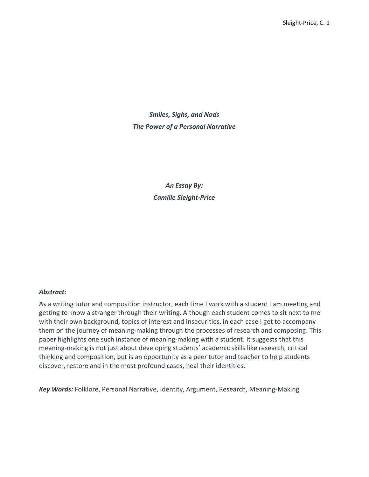*Smiles, Sighs, and Nods The Power of a Personal Narrative*

> *An Essay By: Camille Sleight-Price*

## *Abstract:*

As a writing tutor and composition instructor, each time I work with a student I am meeting and getting to know a stranger through their writing. Although each student comes to sit next to me with their own background, topics of interest and insecurities, in each case I get to accompany them on the journey of meaning-making through the processes of research and composing. This paper highlights one such instance of meaning-making with a student. It suggests that this meaning-making is not just about developing students' academic skills like research, critical thinking and composition, but is an opportunity as a peer tutor and teacher to help students discover, restore and in the most profound cases, heal their identities.

*Key Words:* Folklore, Personal Narrative, Identity, Argument, Research, Meaning-Making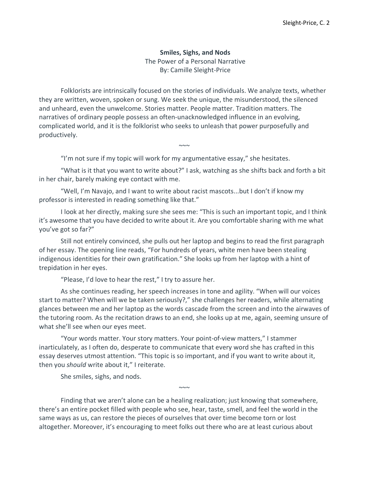## **Smiles, Sighs, and Nods**

The Power of a Personal Narrative By: Camille Sleight-Price

Folklorists are intrinsically focused on the stories of individuals. We analyze texts, whether they are written, woven, spoken or sung. We seek the unique, the misunderstood, the silenced and unheard, even the unwelcome. Stories matter. People matter. Tradition matters. The narratives of ordinary people possess an often-unacknowledged influence in an evolving, complicated world, and it is the folklorist who seeks to unleash that power purposefully and productively.

"I'm not sure if my topic will work for my argumentative essay," she hesitates.

"What is it that you want to write about?" I ask, watching as she shifts back and forth a bit in her chair, barely making eye contact with me.

 $\sim$ 

"Well, I'm Navajo, and I want to write about racist mascots...but I don't if know my professor is interested in reading something like that."

I look at her directly, making sure she sees me: "This is such an important topic, and I think it's awesome that you have decided to write about it. Are you comfortable sharing with me what you've got so far?"

Still not entirely convinced, she pulls out her laptop and begins to read the first paragraph of her essay. The opening line reads, "For hundreds of years, white men have been stealing indigenous identities for their own gratification." She looks up from her laptop with a hint of trepidation in her eyes.

"Please, I'd love to hear the rest," I try to assure her.

As she continues reading, her speech increases in tone and agility. "When will our voices start to matter? When will we be taken seriously?," she challenges her readers, while alternating glances between me and her laptop as the words cascade from the screen and into the airwaves of the tutoring room. As the recitation draws to an end, she looks up at me, again, seeming unsure of what she'll see when our eyes meet.

"Your words matter. Your story matters. Your point-of-view matters," I stammer inarticulately, as I often do, desperate to communicate that every word she has crafted in this essay deserves utmost attention. "This topic is so important, and if you want to write about it, then you *should* write about it," I reiterate.

She smiles, sighs, and nods.

Finding that we aren't alone can be a healing realization; just knowing that somewhere, there's an entire pocket filled with people who see, hear, taste, smell, and feel the world in the same ways as us, can restore the pieces of ourselves that over time become torn or lost altogether. Moreover, it's encouraging to meet folks out there who are at least curious about

 $\sim\sim\sim$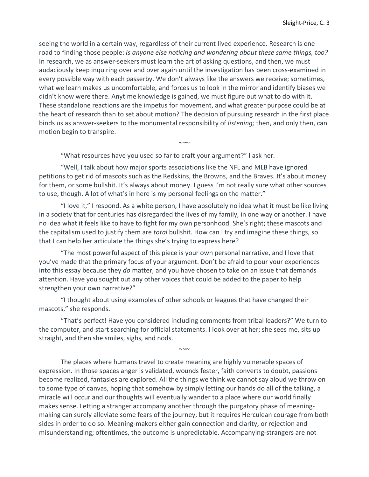seeing the world in a certain way, regardless of their current lived experience. Research is one road to finding those people: *Is anyone else noticing and wondering about these same things, too?*  In research, we as answer-seekers must learn the art of asking questions, and then, we must audaciously keep inquiring over and over again until the investigation has been cross-examined in every possible way with each passerby. We don't always like the answers we receive; sometimes, what we learn makes us uncomfortable, and forces us to look in the mirror and identify biases we didn't know were there. Anytime knowledge is gained, we must figure out what to do with it. These standalone reactions are the impetus for movement, and what greater purpose could be at the heart of research than to set about motion? The decision of pursuing research in the first place binds us as answer-seekers to the monumental responsibility of *listening;* then, and only then, can motion begin to transpire.

"What resources have you used so far to craft your argument?" I ask her.

"Well, I talk about how major sports associations like the NFL and MLB have ignored petitions to get rid of mascots such as the Redskins, the Browns, and the Braves. It's about money for them, or some bullshit. It's always about money. I guess I'm not really sure what other sources to use, though. A lot of what's in here is my personal feelings on the matter."

 $\sim\sim\sim$ 

"I love it," I respond. As a white person, I have absolutely no idea what it must be like living in a society that for centuries has disregarded the lives of my family, in one way or another. I have no idea what it feels like to have to fight for my own personhood. She's right; these mascots and the capitalism used to justify them are *total* bullshit. How can I try and imagine these things, so that I can help her articulate the things she's trying to express here?

"The most powerful aspect of this piece is your own personal narrative, and I love that you've made that the primary focus of your argument. Don't be afraid to pour your experiences into this essay because they *do* matter, and you have chosen to take on an issue that demands attention. Have you sought out any other voices that could be added to the paper to help strengthen your own narrative?"

"I thought about using examples of other schools or leagues that have changed their mascots," she responds.

"That's perfect! Have you considered including comments from tribal leaders?" We turn to the computer, and start searching for official statements. I look over at her; she sees me, sits up straight, and then she smiles, sighs, and nods.

 $\sim\sim\sim$ 

The places where humans travel to create meaning are highly vulnerable spaces of expression. In those spaces anger is validated, wounds fester, faith converts to doubt, passions become realized, fantasies are explored. All the things we think we cannot say aloud we throw on to some type of canvas, hoping that somehow by simply letting our hands do all of the talking, a miracle will occur and our thoughts will eventually wander to a place where our world finally makes sense. Letting a stranger accompany another through the purgatory phase of meaningmaking can surely alleviate some fears of the journey, but it requires Herculean courage from both sides in order to do so. Meaning-makers either gain connection and clarity, or rejection and misunderstanding; oftentimes, the outcome is unpredictable. Accompanying-strangers are not